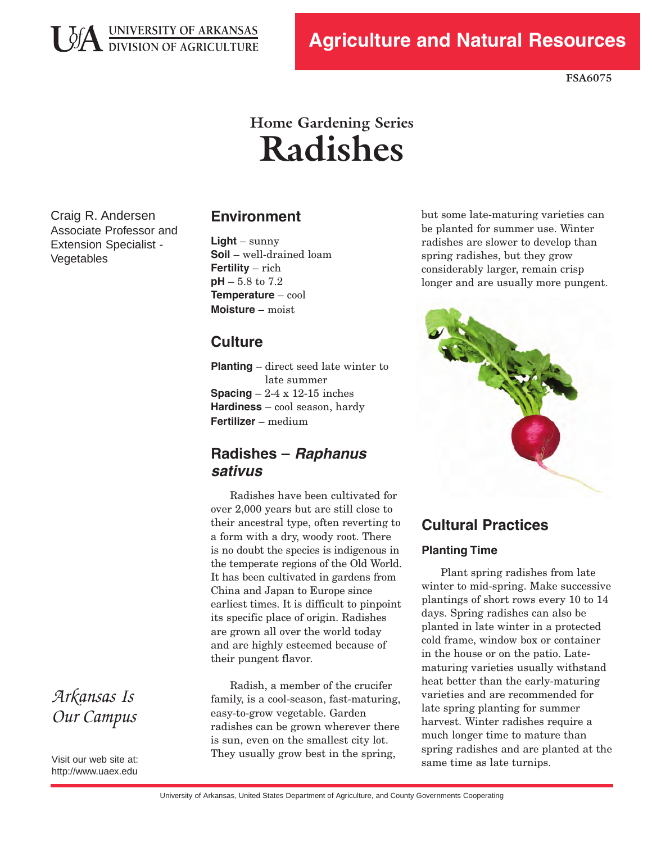

**FSA6075**

# **Home Gardening Series Radishes**

 Craig R. Andersen Associate Professor and Extension Specialist Vegetables

### **Environment**

 **pH** – 5.8 to 7.2 **Light** – sunny **Soil** – well-drained loam **Fertility** – rich **Temperature** – cool **Moisture** – moist

## **Culture**

 **Planting** – direct seed late winter to **Spacing**  $-2-4 \times 12-15$  inches **Hardiness** – cool season, hardy late summer **Fertilizer** – medium

## **Radishes – Raphanus sativus**

 Radishes have been cultivated for over 2,000 years but are still close to their ancestral type, often reverting to a form with a dry, woody root. There is no doubt the species is indigenous in the temperate regions of the Old World. It has been cultivated in gardens from China and Japan to Europe since earliest times. It is difficult to pinpoint its specific place of origin. Radishes are grown all over the world today and are highly esteemed because of their pungent flavor.

 Radish, a member of the crucifer family, is a cool-season, fast-maturing, easy-to-grow vegetable. Garden radishes can be grown wherever there is sun, even on the smallest city lot. They usually grow best in the spring,

but some late-maturing varieties can be planted for summer use. Winter radishes are slower to develop than spring radishes, but they grow considerably larger, remain crisp longer and are usually more pungent.



# **Cultural Practices**

#### **Planting Time**

 Plant spring radishes from late winter to mid-spring. Make successive plantings of short rows every 10 to 14 days. Spring radishes can also be planted in late winter in a protected cold frame, window box or container in the house or on the patio. Late- maturing varieties usually withstand heat better than the early-maturing varieties and are recommended for late spring planting for summer harvest. Winter radishes require a much longer time to mature than spring radishes and are planted at the same time as late turnips.

*Arkansas Is Our Campus*

 Visit our web site at: http://www.uaex.edu